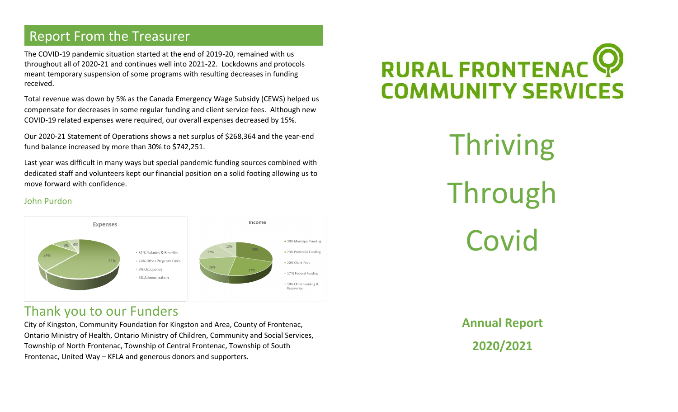# Report From the Treasurer

The COVID-19 pandemic situation started at the end of 2019-20, remained with us throughout all of 2020-21 and continues well into 2021-22. Lockdowns and protocols meant temporary suspension of some programs with resulting decreases in funding received.

Total revenue was down by 5% as the Canada Emergency Wage Subsidy (CEWS) helped us compensate for decreases in some regular funding and client service fees. Although new COVID-19 related expenses were required, our overall expenses decreased by 15%.

Our 2020-21 Statement of Operations shows a net surplus of \$268,364 and the year-end fund balance increased by more than 30% to \$742,251.

Last year was difficult in many ways but special pandemic funding sources combined with dedicated staff and volunteers kept our financial position on a solid footing allowing us to move forward with confidence.

#### John Purdon



# Thank you to our Funders

City of Kingston, Community Foundation for Kingston and Area, County of Frontenac, Ontario Ministry of Health, Ontario Ministry of Children, Community and Social Services, Township of North Frontenac, Township of Central Frontenac, Township of South Frontenac, United Way – KFLA and generous donors and supporters.



Thriving Through Covid

> **Annual Report 2020/2021**